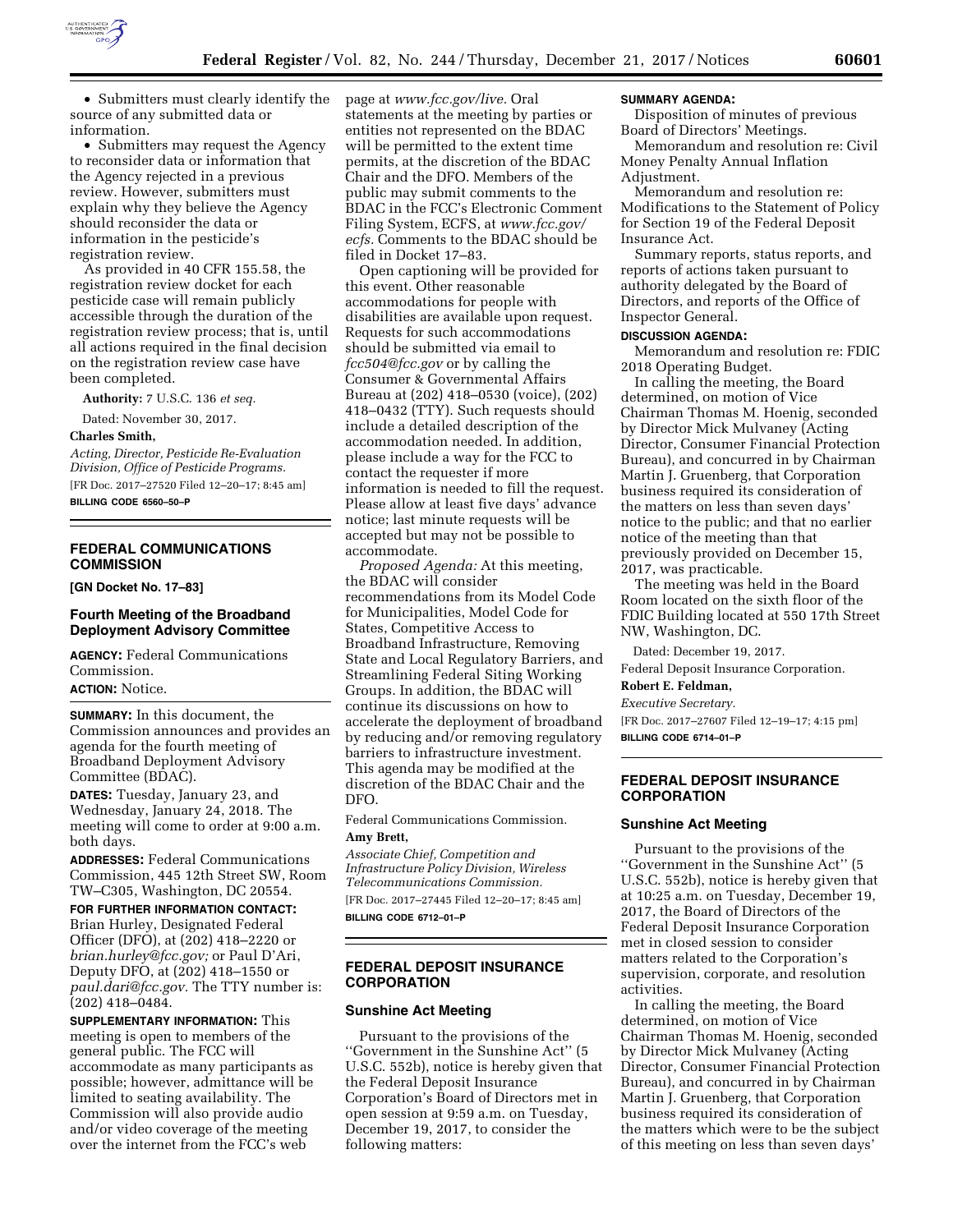

• Submitters must clearly identify the source of any submitted data or information.

• Submitters may request the Agency to reconsider data or information that the Agency rejected in a previous review. However, submitters must explain why they believe the Agency should reconsider the data or information in the pesticide's registration review.

As provided in 40 CFR 155.58, the registration review docket for each pesticide case will remain publicly accessible through the duration of the registration review process; that is, until all actions required in the final decision on the registration review case have been completed.

**Authority:** 7 U.S.C. 136 *et seq.* 

Dated: November 30, 2017.

#### **Charles Smith,**

*Acting, Director, Pesticide Re-Evaluation Division, Office of Pesticide Programs.*  [FR Doc. 2017–27520 Filed 12–20–17; 8:45 am]

**BILLING CODE 6560–50–P** 

### **FEDERAL COMMUNICATIONS COMMISSION**

**[GN Docket No. 17–83]** 

### **Fourth Meeting of the Broadband Deployment Advisory Committee**

**AGENCY:** Federal Communications Commission.

**ACTION:** Notice.

**SUMMARY:** In this document, the Commission announces and provides an agenda for the fourth meeting of Broadband Deployment Advisory Committee (BDAC).

**DATES:** Tuesday, January 23, and Wednesday, January 24, 2018. The meeting will come to order at 9:00 a.m. both days.

**ADDRESSES:** Federal Communications Commission, 445 12th Street SW, Room TW–C305, Washington, DC 20554.

**FOR FURTHER INFORMATION CONTACT:**  Brian Hurley, Designated Federal Officer (DFO), at (202) 418–2220 or *[brian.hurley@fcc.gov;](mailto:brian.hurley@fcc.gov)* or Paul D'Ari, Deputy DFO, at (202) 418–1550 or *[paul.dari@fcc.gov.](mailto:paul.dari@fcc.gov)* The TTY number is: (202) 418–0484.

**SUPPLEMENTARY INFORMATION:** This meeting is open to members of the general public. The FCC will accommodate as many participants as possible; however, admittance will be limited to seating availability. The Commission will also provide audio and/or video coverage of the meeting over the internet from the FCC's web

page at *[www.fcc.gov/live.](http://www.fcc.gov/live)* Oral statements at the meeting by parties or entities not represented on the BDAC will be permitted to the extent time permits, at the discretion of the BDAC Chair and the DFO. Members of the public may submit comments to the BDAC in the FCC's Electronic Comment Filing System, ECFS, at *[www.fcc.gov/](http://www.fcc.gov/ecfs)*  [ecfs.](http://www.fcc.gov/ecfs) Comments to the BDAC should be filed in Docket 17–83.

Open captioning will be provided for this event. Other reasonable accommodations for people with disabilities are available upon request. Requests for such accommodations should be submitted via email to *[fcc504@fcc.gov](mailto:fcc504@fcc.gov)* or by calling the Consumer & Governmental Affairs Bureau at (202) 418–0530 (voice), (202) 418–0432 (TTY). Such requests should include a detailed description of the accommodation needed. In addition, please include a way for the FCC to contact the requester if more information is needed to fill the request. Please allow at least five days' advance notice; last minute requests will be accepted but may not be possible to accommodate.

*Proposed Agenda:* At this meeting, the BDAC will consider recommendations from its Model Code for Municipalities, Model Code for States, Competitive Access to Broadband Infrastructure, Removing State and Local Regulatory Barriers, and Streamlining Federal Siting Working Groups. In addition, the BDAC will continue its discussions on how to accelerate the deployment of broadband by reducing and/or removing regulatory barriers to infrastructure investment. This agenda may be modified at the discretion of the BDAC Chair and the DFO.

Federal Communications Commission. **Amy Brett,** 

*Associate Chief, Competition and Infrastructure Policy Division, Wireless Telecommunications Commission.*  [FR Doc. 2017–27445 Filed 12–20–17; 8:45 am] **BILLING CODE 6712–01–P** 

### **FEDERAL DEPOSIT INSURANCE CORPORATION**

### **Sunshine Act Meeting**

Pursuant to the provisions of the ''Government in the Sunshine Act'' (5 U.S.C. 552b), notice is hereby given that the Federal Deposit Insurance Corporation's Board of Directors met in open session at 9:59 a.m. on Tuesday, December 19, 2017, to consider the following matters:

#### **SUMMARY AGENDA:**

Disposition of minutes of previous Board of Directors' Meetings.

Memorandum and resolution re: Civil Money Penalty Annual Inflation Adjustment.

Memorandum and resolution re: Modifications to the Statement of Policy for Section 19 of the Federal Deposit Insurance Act.

Summary reports, status reports, and reports of actions taken pursuant to authority delegated by the Board of Directors, and reports of the Office of Inspector General.

#### **DISCUSSION AGENDA:**

Memorandum and resolution re: FDIC 2018 Operating Budget.

In calling the meeting, the Board determined, on motion of Vice Chairman Thomas M. Hoenig, seconded by Director Mick Mulvaney (Acting Director, Consumer Financial Protection Bureau), and concurred in by Chairman Martin J. Gruenberg, that Corporation business required its consideration of the matters on less than seven days' notice to the public; and that no earlier notice of the meeting than that previously provided on December 15, 2017, was practicable.

The meeting was held in the Board Room located on the sixth floor of the FDIC Building located at 550 17th Street NW, Washington, DC.

Dated: December 19, 2017.

Federal Deposit Insurance Corporation.

# **Robert E. Feldman,**

*Executive Secretary.* 

[FR Doc. 2017–27607 Filed 12–19–17; 4:15 pm] **BILLING CODE 6714–01–P** 

### **FEDERAL DEPOSIT INSURANCE CORPORATION**

#### **Sunshine Act Meeting**

Pursuant to the provisions of the ''Government in the Sunshine Act'' (5 U.S.C. 552b), notice is hereby given that at 10:25 a.m. on Tuesday, December 19, 2017, the Board of Directors of the Federal Deposit Insurance Corporation met in closed session to consider matters related to the Corporation's supervision, corporate, and resolution activities.

In calling the meeting, the Board determined, on motion of Vice Chairman Thomas M. Hoenig, seconded by Director Mick Mulvaney (Acting Director, Consumer Financial Protection Bureau), and concurred in by Chairman Martin J. Gruenberg, that Corporation business required its consideration of the matters which were to be the subject of this meeting on less than seven days'